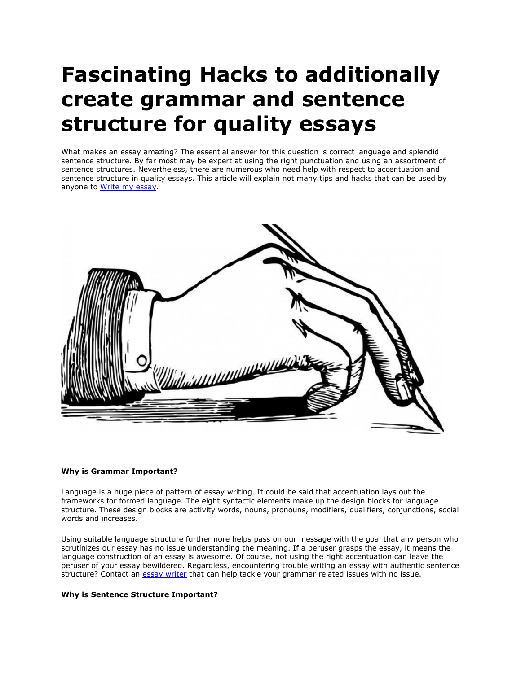# **Fascinating Hacks to additionally create grammar and sentence structure for quality essays**

What makes an essay amazing? The essential answer for this question is correct language and splendid sentence structure. By far most may be expert at using the right punctuation and using an assortment of sentence structures. Nevertheless, there are numerous who need help with respect to accentuation and sentence structure in quality essays. This article will explain not many tips and hacks that can be used by anyone to [Write my essay.](https://www.collegeessay.org/)



## **Why is Grammar Important?**

Language is a huge piece of pattern of essay writing. It could be said that accentuation lays out the frameworks for formed language. The eight syntactic elements make up the design blocks for language structure. These design blocks are activity words, nouns, pronouns, modifiers, qualifiers, conjunctions, social words and increases.

Using suitable language structure furthermore helps pass on our message with the goal that any person who scrutinizes our essay has no issue understanding the meaning. If a peruser grasps the essay, it means the language construction of an essay is awesome. Of course, not using the right accentuation can leave the peruser of your essay bewildered. Regardless, encountering trouble writing an essay with authentic sentence structure? Contact an [essay writer](https://www.myperfectpaper.net/) that can help tackle your grammar related issues with no issue.

## **Why is Sentence Structure Important?**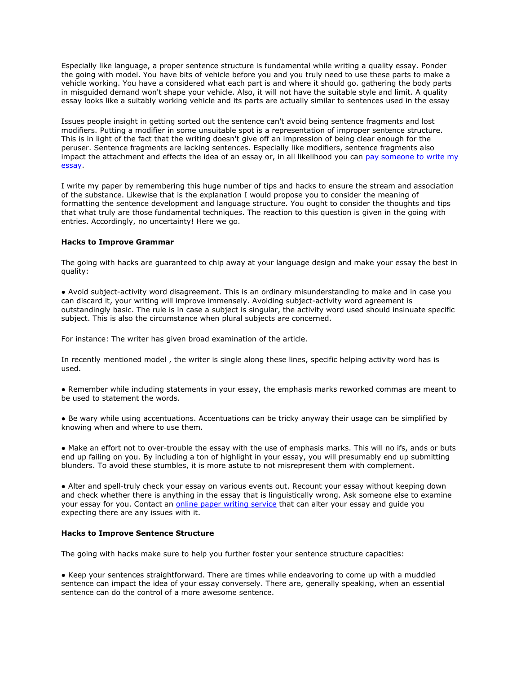Especially like language, a proper sentence structure is fundamental while writing a quality essay. Ponder the going with model. You have bits of vehicle before you and you truly need to use these parts to make a vehicle working. You have a considered what each part is and where it should go. gathering the body parts in misguided demand won't shape your vehicle. Also, it will not have the suitable style and limit. A quality essay looks like a suitably working vehicle and its parts are actually similar to sentences used in the essay

Issues people insight in getting sorted out the sentence can't avoid being sentence fragments and lost modifiers. Putting a modifier in some unsuitable spot is a representation of improper sentence structure. This is in light of the fact that the writing doesn't give off an impression of being clear enough for the peruser. Sentence fragments are lacking sentences. Especially like modifiers, sentence fragments also impact the attachment and effects the idea of an essay or, in all likelihood you can [pay someone to](https://www.collegeessay.org/) write my [essay.](https://www.collegeessay.org/)

I write my paper by remembering this huge number of tips and hacks to ensure the stream and association of the substance. Likewise that is the explanation I would propose you to consider the meaning of formatting the sentence development and language structure. You ought to consider the thoughts and tips that what truly are those fundamental techniques. The reaction to this question is given in the going with entries. Accordingly, no uncertainty! Here we go.

## **Hacks to Improve Grammar**

The going with hacks are guaranteed to chip away at your language design and make your essay the best in quality:

● Avoid subject-activity word disagreement. This is an ordinary misunderstanding to make and in case you can discard it, your writing will improve immensely. Avoiding subject-activity word agreement is outstandingly basic. The rule is in case a subject is singular, the activity word used should insinuate specific subject. This is also the circumstance when plural subjects are concerned.

For instance: The writer has given broad examination of the article.

In recently mentioned model , the writer is single along these lines, specific helping activity word has is used.

● Remember while including statements in your essay, the emphasis marks reworked commas are meant to be used to statement the words.

● Be wary while using accentuations. Accentuations can be tricky anyway their usage can be simplified by knowing when and where to use them.

● Make an effort not to over-trouble the essay with the use of emphasis marks. This will no ifs, ands or buts end up failing on you. By including a ton of highlight in your essay, you will presumably end up submitting blunders. To avoid these stumbles, it is more astute to not misrepresent them with complement.

• Alter and spell-truly check your essay on various events out. Recount your essay without keeping down and check whether there is anything in the essay that is linguistically wrong. Ask someone else to examine your essay for you. Contact an [online paper writing service](https://essayhours.com/) that can alter your essay and quide you expecting there are any issues with it.

## **Hacks to Improve Sentence Structure**

The going with hacks make sure to help you further foster your sentence structure capacities:

● Keep your sentences straightforward. There are times while endeavoring to come up with a muddled sentence can impact the idea of your essay conversely. There are, generally speaking, when an essential sentence can do the control of a more awesome sentence.